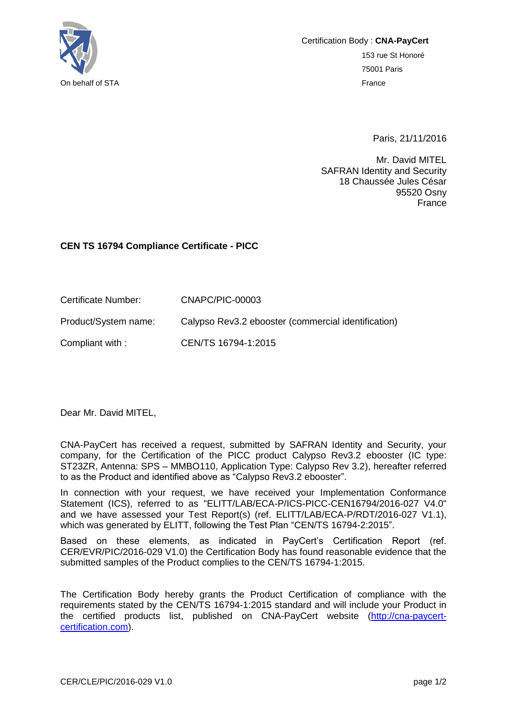

Certification Body : **CNA-PayCert** 153 rue St Honoré 75001 Paris On behalf of STA France

Paris, 21/11/2016

Mr. David MITEL SAFRAN Identity and Security 18 Chaussée Jules César 95520 Osny France

## **CEN TS 16794 Compliance Certificate - PICC**

| Certificate Number:  | CNAPC/PIC-00003                                     |
|----------------------|-----------------------------------------------------|
| Product/System name: | Calypso Rev3.2 ebooster (commercial identification) |

Compliant with : CEN/TS 16794-1:2015

Dear Mr. David MITEL,

CNA-PayCert has received a request, submitted by SAFRAN Identity and Security, your company, for the Certification of the PICC product Calypso Rev3.2 ebooster (IC type: ST23ZR, Antenna: SPS – MMBO110, Application Type: Calypso Rev 3.2), hereafter referred to as the Product and identified above as "Calypso Rev3.2 ebooster".

In connection with your request, we have received your Implementation Conformance Statement (ICS), referred to as "ELITT/LAB/ECA-P/ICS-PICC-CEN16794/2016-027 V4.0" and we have assessed your Test Report(s) (ref. ELITT/LAB/ECA-P/RDT/2016-027 V1.1), which was generated by ELITT, following the Test Plan "CEN/TS 16794-2:2015".

Based on these elements, as indicated in PayCert's Certification Report (ref. CER/EVR/PIC/2016-029 V1.0) the Certification Body has found reasonable evidence that the submitted samples of the Product complies to the CEN/TS 16794-1:2015.

The Certification Body hereby grants the Product Certification of compliance with the requirements stated by the CEN/TS 16794-1:2015 standard and will include your Product in the certified products list, published on CNA-PayCert website [\(http://cna-paycert](http://cna-paycert-certification.com/)[certification.com\)](http://cna-paycert-certification.com/).